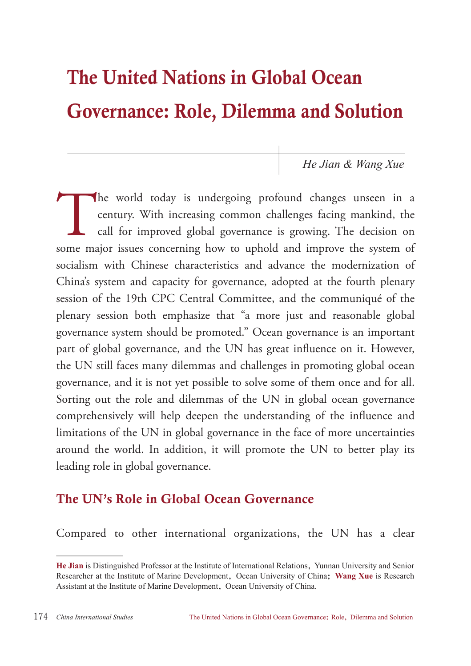# The United Nations in Global Ocean Governance: Role, Dilemma and Solution

*He Jian & Wang Xue*

The world today is undergoing profound changes unseen in a century. With increasing common challenges facing mankind, the call for improved global governance is growing. The decision on some major issues concerning how to century. With increasing common challenges facing mankind, the call for improved global governance is growing. The decision on some major issues concerning how to uphold and improve the system of socialism with Chinese characteristics and advance the modernization of China's system and capacity for governance, adopted at the fourth plenary session of the 19th CPC Central Committee, and the communiqué of the plenary session both emphasize that "a more just and reasonable global governance system should be promoted." Ocean governance is an important part of global governance, and the UN has great influence on it. However, the UN still faces many dilemmas and challenges in promoting global ocean governance, and it is not yet possible to solve some of them once and for all. Sorting out the role and dilemmas of the UN in global ocean governance comprehensively will help deepen the understanding of the influence and limitations of the UN in global governance in the face of more uncertainties around the world. In addition, it will promote the UN to better play its leading role in global governance.

## The UN's Role in Global Ocean Governance

Compared to other international organizations, the UN has a clear

**He Jian** is Distinguished Professor at the Institute of International Relations, Yunnan University and Senior Researcher at the Institute of Marine Development, Ocean University of China; **Wang Xue** is Research Assistant at the Institute of Marine Development, Ocean University of China.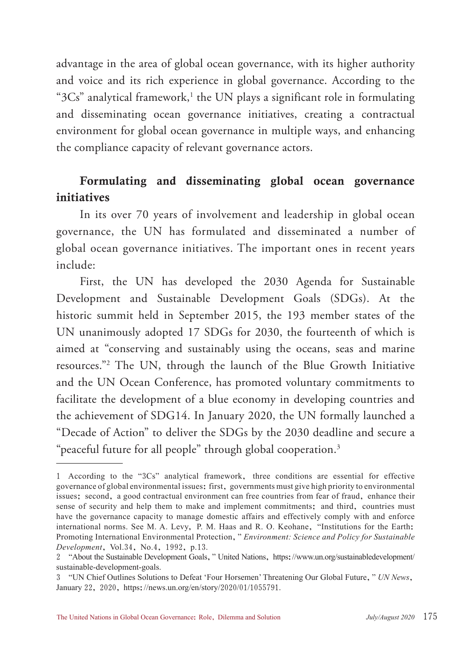advantage in the area of global ocean governance, with its higher authority and voice and its rich experience in global governance. According to the " $3Cs$ " analytical framework, $1$  the UN plays a significant role in formulating and disseminating ocean governance initiatives, creating a contractual environment for global ocean governance in multiple ways, and enhancing the compliance capacity of relevant governance actors.

#### Formulating and disseminating global ocean governance initiatives

In its over 70 years of involvement and leadership in global ocean governance, the UN has formulated and disseminated a number of global ocean governance initiatives. The important ones in recent years include:

First, the UN has developed the 2030 Agenda for Sustainable Development and Sustainable Development Goals (SDGs). At the historic summit held in September 2015, the 193 member states of the UN unanimously adopted 17 SDGs for 2030, the fourteenth of which is aimed at "conserving and sustainably using the oceans, seas and marine resources."2 The UN, through the launch of the Blue Growth Initiative and the UN Ocean Conference, has promoted voluntary commitments to facilitate the development of a blue economy in developing countries and the achievement of SDG14. In January 2020, the UN formally launched a "Decade of Action" to deliver the SDGs by the 2030 deadline and secure a "peaceful future for all people" through global cooperation.<sup>3</sup>

<sup>1</sup> According to the "3Cs" analytical framework, three conditions are essential for effective governance of global environmental issues: first, governments must give high priority to environmental issues; second, a good contractual environment can free countries from fear of fraud, enhance their sense of security and help them to make and implement commitments; and third, countries must have the governance capacity to manage domestic affairs and effectively comply with and enforce international norms. See M. A. Levy, P. M. Haas and R. O. Keohane, "Institutions for the Earth: Promoting International Environmental Protection," *Environment: Science and Policy for Sustainable Development*, Vol.34, No.4, 1992, p.13.

<sup>2</sup> "About the Sustainable Development Goals," United Nations, https://www.un.org/sustainabledevelopment/ sustainable-development-goals.

<sup>3</sup> "UN Chief Outlines Solutions to Defeat 'Four Horsemen' Threatening Our Global Future," *UN News*, January 22, 2020, https://news.un.org/en/story/2020/01/1055791.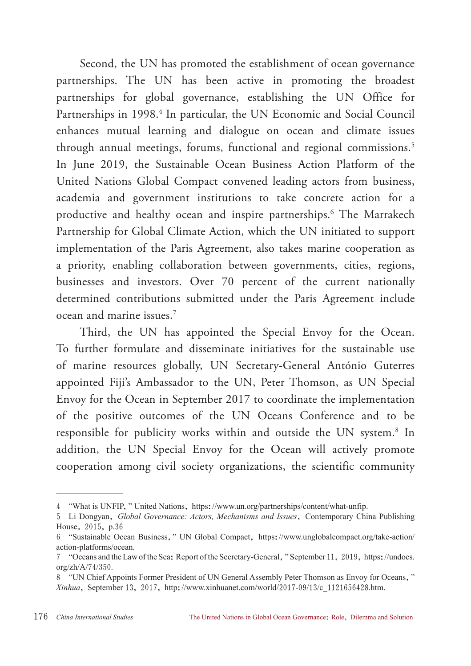Second, the UN has promoted the establishment of ocean governance partnerships. The UN has been active in promoting the broadest partnerships for global governance, establishing the UN Office for Partnerships in 1998.<sup>4</sup> In particular, the UN Economic and Social Council enhances mutual learning and dialogue on ocean and climate issues through annual meetings, forums, functional and regional commissions.<sup>5</sup> In June 2019, the Sustainable Ocean Business Action Platform of the United Nations Global Compact convened leading actors from business, academia and government institutions to take concrete action for a productive and healthy ocean and inspire partnerships.6 The Marrakech Partnership for Global Climate Action, which the UN initiated to support implementation of the Paris Agreement, also takes marine cooperation as a priority, enabling collaboration between governments, cities, regions, businesses and investors. Over 70 percent of the current nationally determined contributions submitted under the Paris Agreement include ocean and marine issues.7

Third, the UN has appointed the Special Envoy for the Ocean. To further formulate and disseminate initiatives for the sustainable use of marine resources globally, UN Secretary-General António Guterres appointed Fiji's Ambassador to the UN, Peter Thomson, as UN Special Envoy for the Ocean in September 2017 to coordinate the implementation of the positive outcomes of the UN Oceans Conference and to be responsible for publicity works within and outside the UN system.<sup>8</sup> In addition, the UN Special Envoy for the Ocean will actively promote cooperation among civil society organizations, the scientific community

<sup>4</sup> "What is UNFIP," United Nations, https://www.un.org/partnerships/content/what-unfip.

<sup>5</sup> Li Dongyan, *Global Governance: Actors, Mechanisms and Issues*, Contemporary China Publishing House, 2015, p.36

<sup>6</sup> "Sustainable Ocean Business," UN Global Compact, https://www.unglobalcompact.org/take-action/ action-platforms/ocean.

<sup>7</sup> "Oceans and the Law of the Sea: Report of the Secretary-General," September 11, 2019, https://undocs. org/zh/A/74/350.

<sup>8</sup> "UN Chief Appoints Former President of UN General Assembly Peter Thomson as Envoy for Oceans," *Xinhua*, September 13, 2017, http://www.xinhuanet.com/world/2017-09/13/c\_1121656428.htm.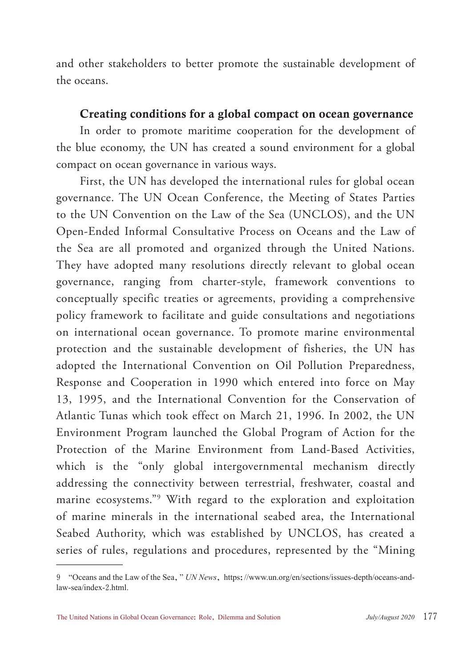and other stakeholders to better promote the sustainable development of the oceans.

#### Creating conditions for a global compact on ocean governance

In order to promote maritime cooperation for the development of the blue economy, the UN has created a sound environment for a global compact on ocean governance in various ways.

First, the UN has developed the international rules for global ocean governance. The UN Ocean Conference, the Meeting of States Parties to the UN Convention on the Law of the Sea (UNCLOS), and the UN Open-Ended Informal Consultative Process on Oceans and the Law of the Sea are all promoted and organized through the United Nations. They have adopted many resolutions directly relevant to global ocean governance, ranging from charter-style, framework conventions to conceptually specific treaties or agreements, providing a comprehensive policy framework to facilitate and guide consultations and negotiations on international ocean governance. To promote marine environmental protection and the sustainable development of fisheries, the UN has adopted the International Convention on Oil Pollution Preparedness, Response and Cooperation in 1990 which entered into force on May 13, 1995, and the International Convention for the Conservation of Atlantic Tunas which took effect on March 21, 1996. In 2002, the UN Environment Program launched the Global Program of Action for the Protection of the Marine Environment from Land-Based Activities, which is the "only global intergovernmental mechanism directly addressing the connectivity between terrestrial, freshwater, coastal and marine ecosystems."9 With regard to the exploration and exploitation of marine minerals in the international seabed area, the International Seabed Authority, which was established by UNCLOS, has created a series of rules, regulations and procedures, represented by the "Mining

<sup>9</sup> "Oceans and the Law of the Sea," *UN News*, https://www.un.org/en/sections/issues-depth/oceans-andlaw-sea/index-2.html.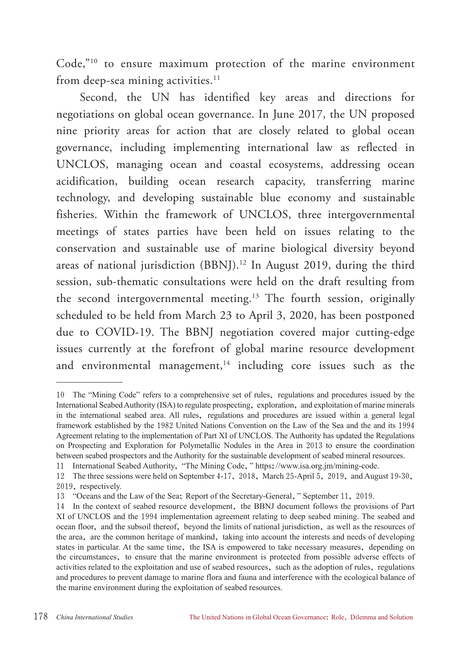Code,"10 to ensure maximum protection of the marine environment from deep-sea mining activities. $11$ 

Second, the UN has identified key areas and directions for negotiations on global ocean governance. In June 2017, the UN proposed nine priority areas for action that are closely related to global ocean governance, including implementing international law as reflected in UNCLOS, managing ocean and coastal ecosystems, addressing ocean acidification, building ocean research capacity, transferring marine technology, and developing sustainable blue economy and sustainable fisheries. Within the framework of UNCLOS, three intergovernmental meetings of states parties have been held on issues relating to the conservation and sustainable use of marine biological diversity beyond areas of national jurisdiction (BBNJ).<sup>12</sup> In August 2019, during the third session, sub-thematic consultations were held on the draft resulting from the second intergovernmental meeting.<sup>13</sup> The fourth session, originally scheduled to be held from March 23 to April 3, 2020, has been postponed due to COVID-19. The BBNJ negotiation covered major cutting-edge issues currently at the forefront of global marine resource development and environmental management, $14$  including core issues such as the

<sup>10</sup> The "Mining Code" refers to a comprehensive set of rules, regulations and procedures issued by the International Seabed Authority (ISA) to regulate prospecting, exploration, and exploitation of marine minerals in the international seabed area. All rules, regulations and procedures are issued within a general legal framework established by the 1982 United Nations Convention on the Law of the Sea and the and its 1994 Agreement relating to the implementation of Part XI of UNCLOS. The Authority has updated the Regulations on Prospecting and Exploration for Polymetallic Nodules in the Area in 2013 to ensure the coordination between seabed prospectors and the Authority for the sustainable development of seabed mineral resources.

<sup>11</sup> International Seabed Authority, "The Mining Code," https://www.isa.org.jm/mining-code.

<sup>12</sup> The three sessions were held on September 4-17, 2018, March 25-April 5, 2019, and August 19-30, 2019, respectively.

<sup>13</sup> "Oceans and the Law of the Sea: Report of the Secretary-General," September 11, 2019.

<sup>14</sup> In the context of seabed resource development, the BBNJ document follows the provisions of Part XI of UNCLOS and the 1994 implementation agreement relating to deep seabed mining. The seabed and ocean floor, and the subsoil thereof, beyond the limits of national jurisdiction, as well as the resources of the area, are the common heritage of mankind, taking into account the interests and needs of developing states in particular. At the same time, the ISA is empowered to take necessary measures, depending on the circumstances, to ensure that the marine environment is protected from possible adverse effects of activities related to the exploitation and use of seabed resources, such as the adoption of rules, regulations and procedures to prevent damage to marine flora and fauna and interference with the ecological balance of the marine environment during the exploitation of seabed resources.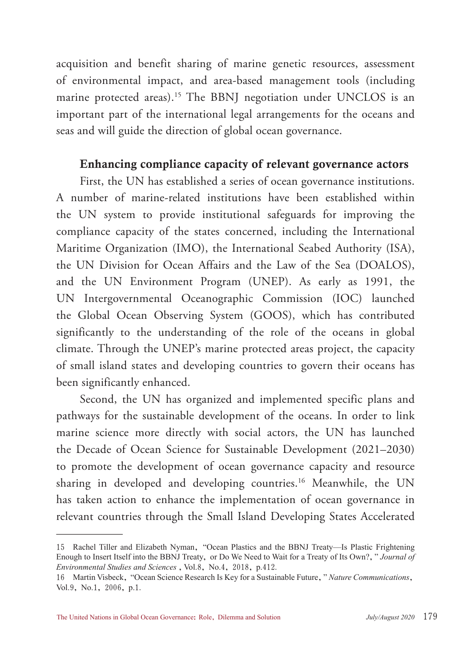acquisition and benefit sharing of marine genetic resources, assessment of environmental impact, and area-based management tools (including marine protected areas).<sup>15</sup> The BBNJ negotiation under UNCLOS is an important part of the international legal arrangements for the oceans and seas and will guide the direction of global ocean governance.

#### Enhancing compliance capacity of relevant governance actors

First, the UN has established a series of ocean governance institutions. A number of marine-related institutions have been established within the UN system to provide institutional safeguards for improving the compliance capacity of the states concerned, including the International Maritime Organization (IMO), the International Seabed Authority (ISA), the UN Division for Ocean Affairs and the Law of the Sea (DOALOS), and the UN Environment Program (UNEP). As early as 1991, the UN Intergovernmental Oceanographic Commission (IOC) launched the Global Ocean Observing System (GOOS), which has contributed significantly to the understanding of the role of the oceans in global climate. Through the UNEP's marine protected areas project, the capacity of small island states and developing countries to govern their oceans has been significantly enhanced.

Second, the UN has organized and implemented specific plans and pathways for the sustainable development of the oceans. In order to link marine science more directly with social actors, the UN has launched the Decade of Ocean Science for Sustainable Development (2021–2030) to promote the development of ocean governance capacity and resource sharing in developed and developing countries.<sup>16</sup> Meanwhile, the UN has taken action to enhance the implementation of ocean governance in relevant countries through the Small Island Developing States Accelerated

<sup>15</sup> Rachel Tiller and Elizabeth Nyman, "Ocean Plastics and the BBNJ Treaty—Is Plastic Frightening Enough to Insert Itself into the BBNJ Treaty, or Do We Need to Wait for a Treaty of Its Own?," *Journal of Environmental Studies and Sciences*, Vol.8, No.4, 2018, p.412.

<sup>16</sup> Martin Visbeck, "Ocean Science Research Is Key for a Sustainable Future," *Nature Communications*, Vol.9, No.1, 2006, p.1.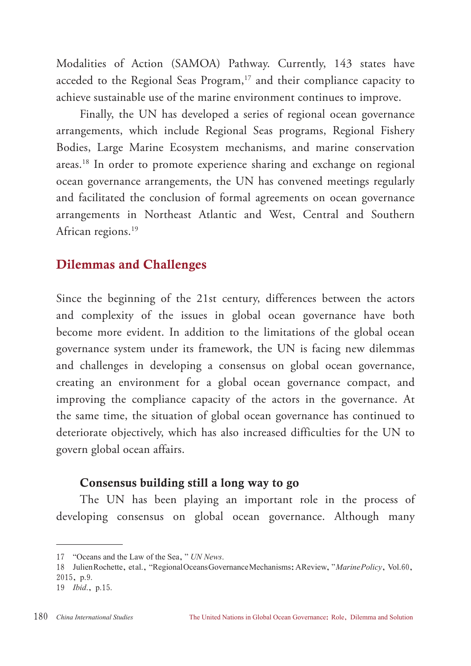Modalities of Action (SAMOA) Pathway. Currently, 143 states have acceded to the Regional Seas Program, $17$  and their compliance capacity to achieve sustainable use of the marine environment continues to improve.

Finally, the UN has developed a series of regional ocean governance arrangements, which include Regional Seas programs, Regional Fishery Bodies, Large Marine Ecosystem mechanisms, and marine conservation areas.18 In order to promote experience sharing and exchange on regional ocean governance arrangements, the UN has convened meetings regularly and facilitated the conclusion of formal agreements on ocean governance arrangements in Northeast Atlantic and West, Central and Southern African regions.<sup>19</sup>

#### Dilemmas and Challenges

Since the beginning of the 21st century, differences between the actors and complexity of the issues in global ocean governance have both become more evident. In addition to the limitations of the global ocean governance system under its framework, the UN is facing new dilemmas and challenges in developing a consensus on global ocean governance, creating an environment for a global ocean governance compact, and improving the compliance capacity of the actors in the governance. At the same time, the situation of global ocean governance has continued to deteriorate objectively, which has also increased difficulties for the UN to govern global ocean affairs.

#### Consensus building still a long way to go

The UN has been playing an important role in the process of developing consensus on global ocean governance. Although many

<sup>17</sup> "Oceans and the Law of the Sea," *UN News*.

<sup>18</sup> Julien Rochette, et al., "Regional Oceans Governance Mechanisms: A Review, "Marine Policy, Vol.60, 2015, p.9.

<sup>19</sup> *Ibid*., p.15.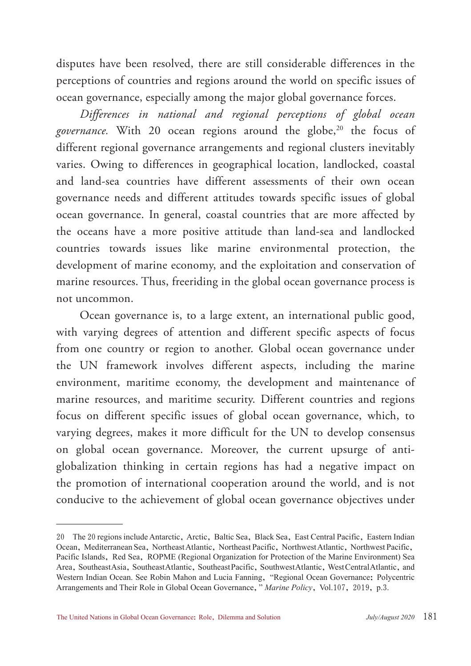disputes have been resolved, there are still considerable differences in the perceptions of countries and regions around the world on specific issues of ocean governance, especially among the major global governance forces.

*Differences in national and regional perceptions of global ocean*  governance. With 20 ocean regions around the globe,<sup>20</sup> the focus of different regional governance arrangements and regional clusters inevitably varies. Owing to differences in geographical location, landlocked, coastal and land-sea countries have different assessments of their own ocean governance needs and different attitudes towards specific issues of global ocean governance. In general, coastal countries that are more affected by the oceans have a more positive attitude than land-sea and landlocked countries towards issues like marine environmental protection, the development of marine economy, and the exploitation and conservation of marine resources. Thus, freeriding in the global ocean governance process is not uncommon.

Ocean governance is, to a large extent, an international public good, with varying degrees of attention and different specific aspects of focus from one country or region to another. Global ocean governance under the UN framework involves different aspects, including the marine environment, maritime economy, the development and maintenance of marine resources, and maritime security. Different countries and regions focus on different specific issues of global ocean governance, which, to varying degrees, makes it more difficult for the UN to develop consensus on global ocean governance. Moreover, the current upsurge of antiglobalization thinking in certain regions has had a negative impact on the promotion of international cooperation around the world, and is not conducive to the achievement of global ocean governance objectives under

<sup>20</sup> The 20 regions include Antarctic, Arctic, Baltic Sea, Black Sea, East Central Pacific, Eastern Indian Ocean, Mediterranean Sea, Northeast Atlantic, Northeast Pacific, Northwest Atlantic, Northwest Pacific, Pacific Islands, Red Sea, ROPME (Regional Organization for Protection of the Marine Environment) Sea Area, Southeast Asia, Southeast Atlantic, Southeast Pacific, Southwest Atlantic, West Central Atlantic, and Western Indian Ocean. See Robin Mahon and Lucia Fanning, "Regional Ocean Governance: Polycentric Arrangements and Their Role in Global Ocean Governance," *Marine Policy*, Vol.107, 2019, p.3.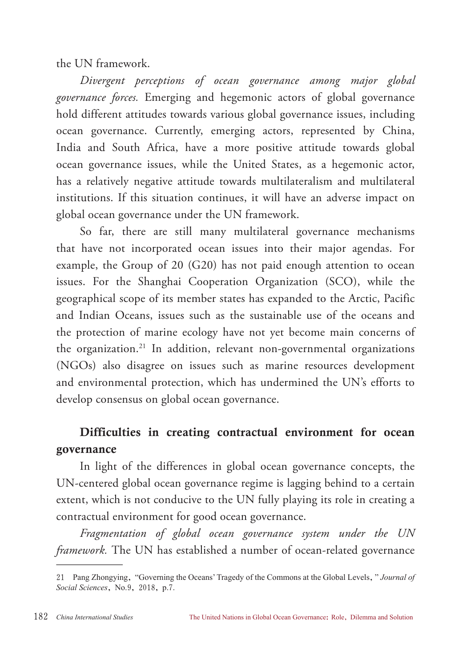the UN framework.

*Divergent perceptions of ocean governance among major global governance forces.* Emerging and hegemonic actors of global governance hold different attitudes towards various global governance issues, including ocean governance. Currently, emerging actors, represented by China, India and South Africa, have a more positive attitude towards global ocean governance issues, while the United States, as a hegemonic actor, has a relatively negative attitude towards multilateralism and multilateral institutions. If this situation continues, it will have an adverse impact on global ocean governance under the UN framework.

So far, there are still many multilateral governance mechanisms that have not incorporated ocean issues into their major agendas. For example, the Group of 20 (G20) has not paid enough attention to ocean issues. For the Shanghai Cooperation Organization (SCO), while the geographical scope of its member states has expanded to the Arctic, Pacific and Indian Oceans, issues such as the sustainable use of the oceans and the protection of marine ecology have not yet become main concerns of the organization.21 In addition, relevant non-governmental organizations (NGOs) also disagree on issues such as marine resources development and environmental protection, which has undermined the UN's efforts to develop consensus on global ocean governance.

## Difficulties in creating contractual environment for ocean governance

In light of the differences in global ocean governance concepts, the UN-centered global ocean governance regime is lagging behind to a certain extent, which is not conducive to the UN fully playing its role in creating a contractual environment for good ocean governance.

*Fragmentation of global ocean governance system under the UN framework.* The UN has established a number of ocean-related governance

<sup>21</sup> Pang Zhongying, "Governing the Oceans' Tragedy of the Commons at the Global Levels," *Journal of Social Sciences*, No.9, 2018, p.7.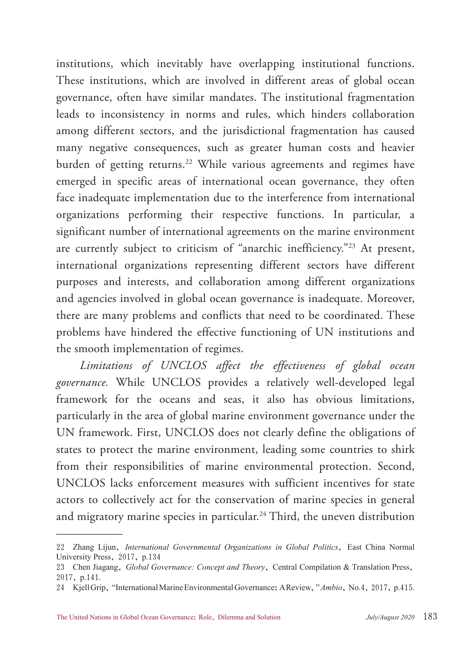institutions, which inevitably have overlapping institutional functions. These institutions, which are involved in different areas of global ocean governance, often have similar mandates. The institutional fragmentation leads to inconsistency in norms and rules, which hinders collaboration among different sectors, and the jurisdictional fragmentation has caused many negative consequences, such as greater human costs and heavier burden of getting returns.<sup>22</sup> While various agreements and regimes have emerged in specific areas of international ocean governance, they often face inadequate implementation due to the interference from international organizations performing their respective functions. In particular, a significant number of international agreements on the marine environment are currently subject to criticism of "anarchic inefficiency."23 At present, international organizations representing different sectors have different purposes and interests, and collaboration among different organizations and agencies involved in global ocean governance is inadequate. Moreover, there are many problems and conflicts that need to be coordinated. These problems have hindered the effective functioning of UN institutions and the smooth implementation of regimes.

*Limitations of UNCLOS affect the effectiveness of global ocean governance.* While UNCLOS provides a relatively well-developed legal framework for the oceans and seas, it also has obvious limitations, particularly in the area of global marine environment governance under the UN framework. First, UNCLOS does not clearly define the obligations of states to protect the marine environment, leading some countries to shirk from their responsibilities of marine environmental protection. Second, UNCLOS lacks enforcement measures with sufficient incentives for state actors to collectively act for the conservation of marine species in general and migratory marine species in particular.<sup>24</sup> Third, the uneven distribution

<sup>22</sup> Zhang Lijun, *International Governmental Organizations in Global Politics*, East China Normal University Press, 2017, p.134

<sup>23</sup> Chen Jiagang, *Global Governance: Concept and Theory*, Central Compilation & Translation Press, 2017, p.141.

<sup>24</sup> Kjell Grip, "International Marine Environmental Governance: A Review," *Ambio*, No.4, 2017, p.415.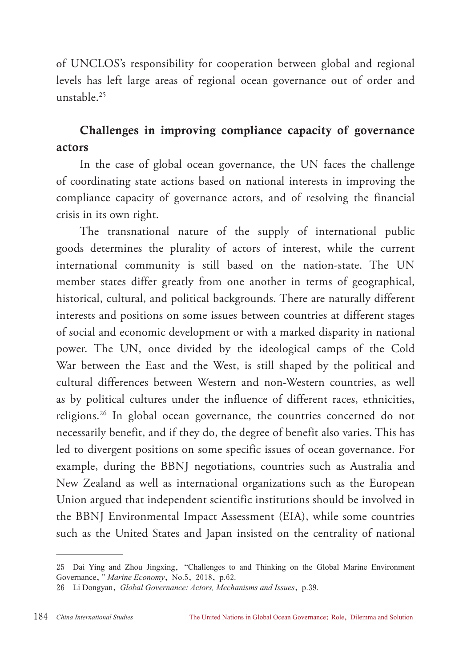of UNCLOS's responsibility for cooperation between global and regional levels has left large areas of regional ocean governance out of order and unstable.25

## Challenges in improving compliance capacity of governance actors

In the case of global ocean governance, the UN faces the challenge of coordinating state actions based on national interests in improving the compliance capacity of governance actors, and of resolving the financial crisis in its own right.

The transnational nature of the supply of international public goods determines the plurality of actors of interest, while the current international community is still based on the nation-state. The UN member states differ greatly from one another in terms of geographical, historical, cultural, and political backgrounds. There are naturally different interests and positions on some issues between countries at different stages of social and economic development or with a marked disparity in national power. The UN, once divided by the ideological camps of the Cold War between the East and the West, is still shaped by the political and cultural differences between Western and non-Western countries, as well as by political cultures under the influence of different races, ethnicities, religions.26 In global ocean governance, the countries concerned do not necessarily benefit, and if they do, the degree of benefit also varies. This has led to divergent positions on some specific issues of ocean governance. For example, during the BBNJ negotiations, countries such as Australia and New Zealand as well as international organizations such as the European Union argued that independent scientific institutions should be involved in the BBNJ Environmental Impact Assessment (EIA), while some countries such as the United States and Japan insisted on the centrality of national

<sup>25</sup> Dai Ying and Zhou Jingxing, "Challenges to and Thinking on the Global Marine Environment Governance," *Marine Economy*, No.5, 2018, p.62.

<sup>26</sup> Li Dongyan, *Global Governance: Actors, Mechanisms and Issues*, p.39.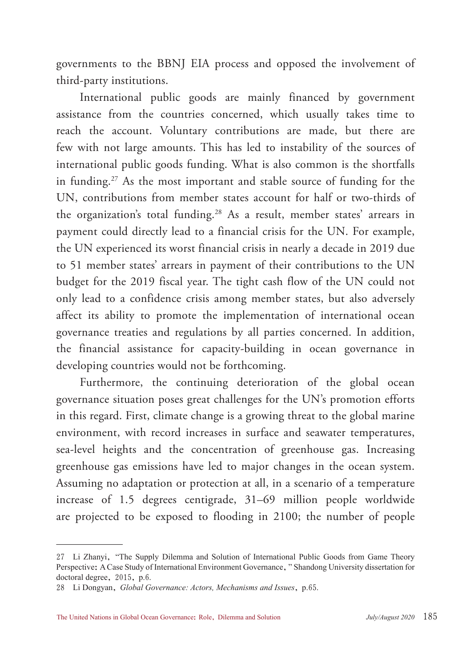governments to the BBNJ EIA process and opposed the involvement of third-party institutions.

International public goods are mainly financed by government assistance from the countries concerned, which usually takes time to reach the account. Voluntary contributions are made, but there are few with not large amounts. This has led to instability of the sources of international public goods funding. What is also common is the shortfalls in funding.<sup>27</sup> As the most important and stable source of funding for the UN, contributions from member states account for half or two-thirds of the organization's total funding.<sup>28</sup> As a result, member states' arrears in payment could directly lead to a financial crisis for the UN. For example, the UN experienced its worst financial crisis in nearly a decade in 2019 due to 51 member states' arrears in payment of their contributions to the UN budget for the 2019 fiscal year. The tight cash flow of the UN could not only lead to a confidence crisis among member states, but also adversely affect its ability to promote the implementation of international ocean governance treaties and regulations by all parties concerned. In addition, the financial assistance for capacity-building in ocean governance in developing countries would not be forthcoming.

Furthermore, the continuing deterioration of the global ocean governance situation poses great challenges for the UN's promotion efforts in this regard. First, climate change is a growing threat to the global marine environment, with record increases in surface and seawater temperatures, sea-level heights and the concentration of greenhouse gas. Increasing greenhouse gas emissions have led to major changes in the ocean system. Assuming no adaptation or protection at all, in a scenario of a temperature increase of 1.5 degrees centigrade, 31–69 million people worldwide are projected to be exposed to flooding in 2100; the number of people

<sup>27</sup> Li Zhanyi, "The Supply Dilemma and Solution of International Public Goods from Game Theory Perspective: A Case Study of International Environment Governance," Shandong University dissertation for doctoral degree, 2015, p.6.

<sup>28</sup> Li Dongyan, *Global Governance: Actors, Mechanisms and Issues*, p.65.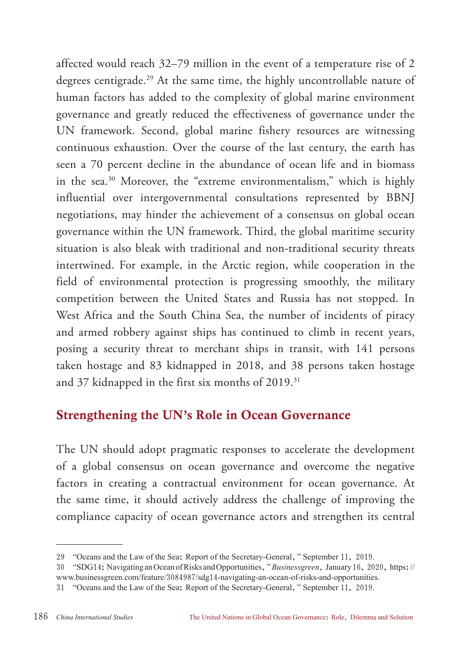affected would reach 32–79 million in the event of a temperature rise of 2 degrees centigrade.<sup>29</sup> At the same time, the highly uncontrollable nature of human factors has added to the complexity of global marine environment governance and greatly reduced the effectiveness of governance under the UN framework. Second, global marine fishery resources are witnessing continuous exhaustion. Over the course of the last century, the earth has seen a 70 percent decline in the abundance of ocean life and in biomass in the sea.30 Moreover, the "extreme environmentalism," which is highly influential over intergovernmental consultations represented by BBNJ negotiations, may hinder the achievement of a consensus on global ocean governance within the UN framework. Third, the global maritime security situation is also bleak with traditional and non-traditional security threats intertwined. For example, in the Arctic region, while cooperation in the field of environmental protection is progressing smoothly, the military competition between the United States and Russia has not stopped. In West Africa and the South China Sea, the number of incidents of piracy and armed robbery against ships has continued to climb in recent years, posing a security threat to merchant ships in transit, with 141 persons taken hostage and 83 kidnapped in 2018, and 38 persons taken hostage and 37 kidnapped in the first six months of 2019.<sup>31</sup>

## Strengthening the UN's Role in Ocean Governance

The UN should adopt pragmatic responses to accelerate the development of a global consensus on ocean governance and overcome the negative factors in creating a contractual environment for ocean governance. At the same time, it should actively address the challenge of improving the compliance capacity of ocean governance actors and strengthen its central

<sup>29</sup> "Oceans and the Law of the Sea: Report of the Secretary-General," September 11, 2019.

<sup>30</sup> "SDG14: Navigating an Ocean of Risks and Opportunities," *Businessgreen*, January 16, 2020, https:// www.businessgreen.com/feature/3084987/sdg14-navigating-an-ocean-of-risks-and-opportunities.

<sup>31</sup> "Oceans and the Law of the Sea: Report of the Secretary-General," September 11, 2019.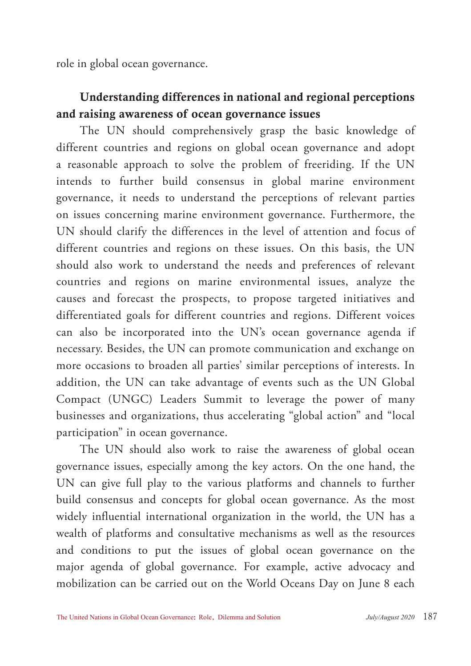role in global ocean governance.

#### Understanding differences in national and regional perceptions and raising awareness of ocean governance issues

The UN should comprehensively grasp the basic knowledge of different countries and regions on global ocean governance and adopt a reasonable approach to solve the problem of freeriding. If the UN intends to further build consensus in global marine environment governance, it needs to understand the perceptions of relevant parties on issues concerning marine environment governance. Furthermore, the UN should clarify the differences in the level of attention and focus of different countries and regions on these issues. On this basis, the UN should also work to understand the needs and preferences of relevant countries and regions on marine environmental issues, analyze the causes and forecast the prospects, to propose targeted initiatives and differentiated goals for different countries and regions. Different voices can also be incorporated into the UN's ocean governance agenda if necessary. Besides, the UN can promote communication and exchange on more occasions to broaden all parties' similar perceptions of interests. In addition, the UN can take advantage of events such as the UN Global Compact (UNGC) Leaders Summit to leverage the power of many businesses and organizations, thus accelerating "global action" and "local participation" in ocean governance.

The UN should also work to raise the awareness of global ocean governance issues, especially among the key actors. On the one hand, the UN can give full play to the various platforms and channels to further build consensus and concepts for global ocean governance. As the most widely influential international organization in the world, the UN has a wealth of platforms and consultative mechanisms as well as the resources and conditions to put the issues of global ocean governance on the major agenda of global governance. For example, active advocacy and mobilization can be carried out on the World Oceans Day on June 8 each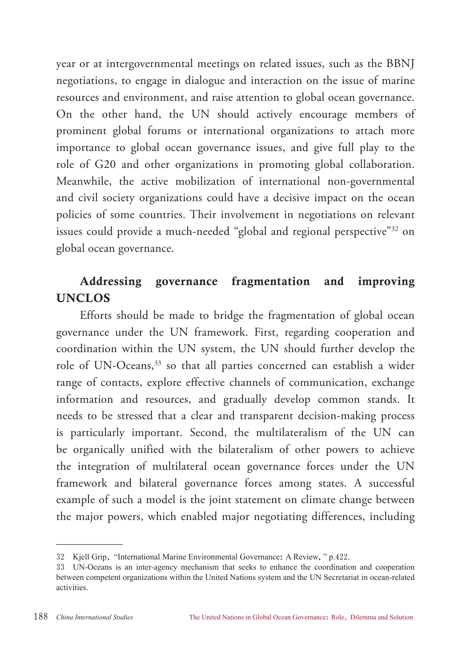year or at intergovernmental meetings on related issues, such as the BBNJ negotiations, to engage in dialogue and interaction on the issue of marine resources and environment, and raise attention to global ocean governance. On the other hand, the UN should actively encourage members of prominent global forums or international organizations to attach more importance to global ocean governance issues, and give full play to the role of G20 and other organizations in promoting global collaboration. Meanwhile, the active mobilization of international non-governmental and civil society organizations could have a decisive impact on the ocean policies of some countries. Their involvement in negotiations on relevant issues could provide a much-needed "global and regional perspective"<sup>32</sup> on global ocean governance.

#### Addressing governance fragmentation and improving UNCLOS

Efforts should be made to bridge the fragmentation of global ocean governance under the UN framework. First, regarding cooperation and coordination within the UN system, the UN should further develop the role of UN-Oceans,<sup>33</sup> so that all parties concerned can establish a wider range of contacts, explore effective channels of communication, exchange information and resources, and gradually develop common stands. It needs to be stressed that a clear and transparent decision-making process is particularly important. Second, the multilateralism of the UN can be organically unified with the bilateralism of other powers to achieve the integration of multilateral ocean governance forces under the UN framework and bilateral governance forces among states. A successful example of such a model is the joint statement on climate change between the major powers, which enabled major negotiating differences, including

<sup>32</sup> Kjell Grip, "International Marine Environmental Governance: A Review," p.422.

<sup>33</sup> UN-Oceans is an inter-agency mechanism that seeks to enhance the coordination and cooperation between competent organizations within the United Nations system and the UN Secretariat in ocean-related activities.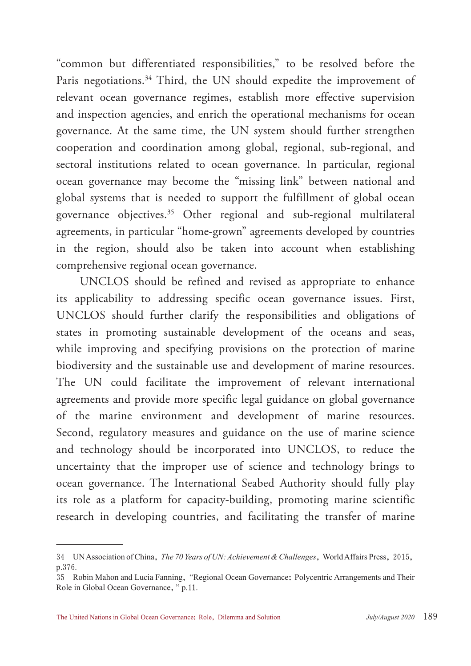"common but differentiated responsibilities," to be resolved before the Paris negotiations.<sup>34</sup> Third, the UN should expedite the improvement of relevant ocean governance regimes, establish more effective supervision and inspection agencies, and enrich the operational mechanisms for ocean governance. At the same time, the UN system should further strengthen cooperation and coordination among global, regional, sub-regional, and sectoral institutions related to ocean governance. In particular, regional ocean governance may become the "missing link" between national and global systems that is needed to support the fulfillment of global ocean governance objectives.35 Other regional and sub-regional multilateral agreements, in particular "home-grown" agreements developed by countries in the region, should also be taken into account when establishing comprehensive regional ocean governance.

UNCLOS should be refined and revised as appropriate to enhance its applicability to addressing specific ocean governance issues. First, UNCLOS should further clarify the responsibilities and obligations of states in promoting sustainable development of the oceans and seas, while improving and specifying provisions on the protection of marine biodiversity and the sustainable use and development of marine resources. The UN could facilitate the improvement of relevant international agreements and provide more specific legal guidance on global governance of the marine environment and development of marine resources. Second, regulatory measures and guidance on the use of marine science and technology should be incorporated into UNCLOS, to reduce the uncertainty that the improper use of science and technology brings to ocean governance. The International Seabed Authority should fully play its role as a platform for capacity-building, promoting marine scientific research in developing countries, and facilitating the transfer of marine

<sup>34</sup> UN Association of China, *The 70 Years of UN: Achievement & Challenges*, World Affairs Press, 2015, p.376.

<sup>35</sup> Robin Mahon and Lucia Fanning, "Regional Ocean Governance: Polycentric Arrangements and Their Role in Global Ocean Governance," p.11.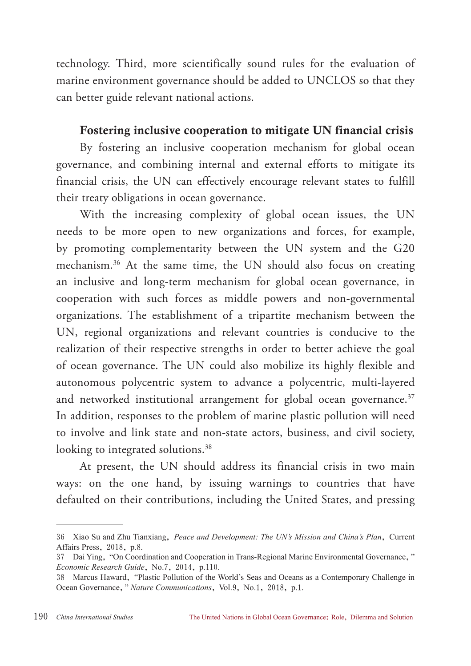technology. Third, more scientifically sound rules for the evaluation of marine environment governance should be added to UNCLOS so that they can better guide relevant national actions.

#### Fostering inclusive cooperation to mitigate UN financial crisis

By fostering an inclusive cooperation mechanism for global ocean governance, and combining internal and external efforts to mitigate its financial crisis, the UN can effectively encourage relevant states to fulfill their treaty obligations in ocean governance.

With the increasing complexity of global ocean issues, the UN needs to be more open to new organizations and forces, for example, by promoting complementarity between the UN system and the G20 mechanism.36 At the same time, the UN should also focus on creating an inclusive and long-term mechanism for global ocean governance, in cooperation with such forces as middle powers and non-governmental organizations. The establishment of a tripartite mechanism between the UN, regional organizations and relevant countries is conducive to the realization of their respective strengths in order to better achieve the goal of ocean governance. The UN could also mobilize its highly flexible and autonomous polycentric system to advance a polycentric, multi-layered and networked institutional arrangement for global ocean governance.<sup>37</sup> In addition, responses to the problem of marine plastic pollution will need to involve and link state and non-state actors, business, and civil society, looking to integrated solutions.<sup>38</sup>

At present, the UN should address its financial crisis in two main ways: on the one hand, by issuing warnings to countries that have defaulted on their contributions, including the United States, and pressing

<sup>36</sup> Xiao Su and Zhu Tianxiang, *Peace and Development: The UN's Mission and China's Plan*, Current Affairs Press, 2018, p.8.

<sup>37</sup> Dai Ying, "On Coordination and Cooperation in Trans-Regional Marine Environmental Governance," *Economic Research Guide*, No.7, 2014, p.110.

<sup>38</sup> Marcus Haward, "Plastic Pollution of the World's Seas and Oceans as a Contemporary Challenge in Ocean Governance," *Nature Communications*, Vol.9, No.1, 2018, p.1.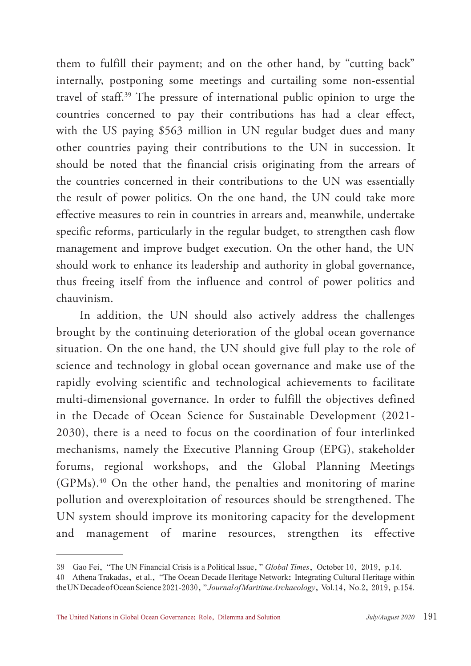them to fulfill their payment; and on the other hand, by "cutting back" internally, postponing some meetings and curtailing some non-essential travel of staff.39 The pressure of international public opinion to urge the countries concerned to pay their contributions has had a clear effect, with the US paying \$563 million in UN regular budget dues and many other countries paying their contributions to the UN in succession. It should be noted that the financial crisis originating from the arrears of the countries concerned in their contributions to the UN was essentially the result of power politics. On the one hand, the UN could take more effective measures to rein in countries in arrears and, meanwhile, undertake specific reforms, particularly in the regular budget, to strengthen cash flow management and improve budget execution. On the other hand, the UN should work to enhance its leadership and authority in global governance, thus freeing itself from the influence and control of power politics and chauvinism.

In addition, the UN should also actively address the challenges brought by the continuing deterioration of the global ocean governance situation. On the one hand, the UN should give full play to the role of science and technology in global ocean governance and make use of the rapidly evolving scientific and technological achievements to facilitate multi-dimensional governance. In order to fulfill the objectives defined in the Decade of Ocean Science for Sustainable Development (2021- 2030), there is a need to focus on the coordination of four interlinked mechanisms, namely the Executive Planning Group (EPG), stakeholder forums, regional workshops, and the Global Planning Meetings (GPMs).40 On the other hand, the penalties and monitoring of marine pollution and overexploitation of resources should be strengthened. The UN system should improve its monitoring capacity for the development and management of marine resources, strengthen its effective

<sup>39</sup> Gao Fei, "The UN Financial Crisis is a Political Issue," *Global Times*, October 10, 2019, p.14.

<sup>40</sup> Athena Trakadas, et al., "The Ocean Decade Heritage Network: Integrating Cultural Heritage within the UN Decade of Ocean Science 2021-2030," *Journal of Maritime Archaeology*, Vol.14, No.2, 2019, p.154.